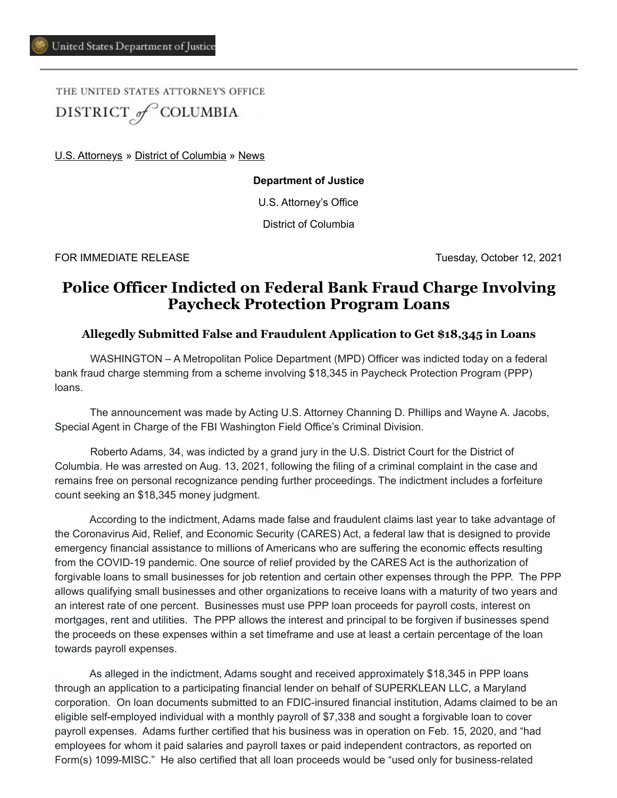THE UNITED STATES ATTORNEY'S OFFICE DISTRICT of COLUMBIA

[U.S. Attorneys](https://www.justice.gov/usao) » [District of Columbia](https://www.justice.gov/usao-dc) » [News](https://www.justice.gov/usao-dc/pr)

**Department of Justice**

U.S. Attorney's Office

District of Columbia

FOR IMMEDIATE RELEASE Tuesday, October 12, 2021

## **Police Officer Indicted on Federal Bank Fraud Charge Involving Paycheck Protection Program Loans**

## **Allegedly Submitted False and Fraudulent Application to Get \$18,345 in Loans**

 WASHINGTON – A Metropolitan Police Department (MPD) Officer was indicted today on a federal bank fraud charge stemming from a scheme involving \$18,345 in Paycheck Protection Program (PPP) loans.

The announcement was made by Acting U.S. Attorney Channing D. Phillips and Wayne A. Jacobs, Special Agent in Charge of the FBI Washington Field Office's Criminal Division.

 Roberto Adams, 34, was indicted by a grand jury in the U.S. District Court for the District of Columbia. He was arrested on Aug. 13, 2021, following the filing of a criminal complaint in the case and remains free on personal recognizance pending further proceedings. The indictment includes a forfeiture count seeking an \$18,345 money judgment.

According to the indictment, Adams made false and fraudulent claims last year to take advantage of the Coronavirus Aid, Relief, and Economic Security (CARES) Act, a federal law that is designed to provide emergency financial assistance to millions of Americans who are suffering the economic effects resulting from the COVID-19 pandemic. One source of relief provided by the CARES Act is the authorization of forgivable loans to small businesses for job retention and certain other expenses through the PPP. The PPP allows qualifying small businesses and other organizations to receive loans with a maturity of two years and an interest rate of one percent. Businesses must use PPP loan proceeds for payroll costs, interest on mortgages, rent and utilities. The PPP allows the interest and principal to be forgiven if businesses spend the proceeds on these expenses within a set timeframe and use at least a certain percentage of the loan towards payroll expenses.

As alleged in the indictment, Adams sought and received approximately \$18,345 in PPP loans through an application to a participating financial lender on behalf of SUPERKLEAN LLC, a Maryland corporation. On loan documents submitted to an FDIC-insured financial institution, Adams claimed to be an eligible self-employed individual with a monthly payroll of \$7,338 and sought a forgivable loan to cover payroll expenses. Adams further certified that his business was in operation on Feb. 15, 2020, and "had employees for whom it paid salaries and payroll taxes or paid independent contractors, as reported on Form(s) 1099-MISC." He also certified that all loan proceeds would be "used only for business-related